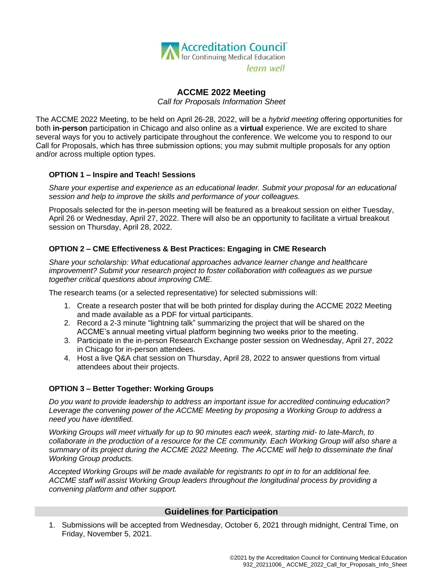

## **ACCME 2022 Meeting**

*Call for Proposals Information Sheet* 

The ACCME 2022 Meeting, to be held on April 26-28, 2022, will be a *hybrid meeting* offering opportunities for both **in-person** participation in Chicago and also online as a **virtual** experience. We are excited to share several ways for you to actively participate throughout the conference. We welcome you to respond to our Call for Proposals, which has three submission options; you may submit multiple proposals for any option and/or across multiple option types.

## **OPTION 1 – Inspire and Teach! Sessions**

*Share your expertise and experience as an educational leader. Submit your proposal for an educational session and help to improve the skills and performance of your colleagues.*

Proposals selected for the in-person meeting will be featured as a breakout session on either Tuesday, April 26 or Wednesday, April 27, 2022. There will also be an opportunity to facilitate a virtual breakout session on Thursday, April 28, 2022.

#### **OPTION 2 – CME Effectiveness & Best Practices: Engaging in CME Research**

*Share your scholarship: What educational approaches advance learner change and healthcare improvement? Submit your research project to foster collaboration with colleagues as we pursue together critical questions about improving CME.*

The research teams (or a selected representative) for selected submissions will:

- 1. Create a research poster that will be both printed for display during the ACCME 2022 Meeting and made available as a PDF for virtual participants.
- 2. Record a 2-3 minute "lightning talk" summarizing the project that will be shared on the ACCME's annual meeting virtual platform beginning two weeks prior to the meeting.
- 3. Participate in the in-person Research Exchange poster session on Wednesday, April 27, 2022 in Chicago for in-person attendees.
- 4. Host a live Q&A chat session on Thursday, April 28, 2022 to answer questions from virtual attendees about their projects.

#### **OPTION 3 – Better Together: Working Groups**

*Do you want to provide leadership to address an important issue for accredited continuing education? Leverage the convening power of the ACCME Meeting by proposing a Working Group to address a need you have identified.*

*Working Groups will meet virtually for up to 90 minutes each week, starting mid- to late-March, to collaborate in the production of a resource for the CE community. Each Working Group will also share a summary of its project during the ACCME 2022 Meeting. The ACCME will help to disseminate the final Working Group products.* 

*Accepted Working Groups will be made available for registrants to opt in to for an additional fee. ACCME staff will assist Working Group leaders throughout the longitudinal process by providing a convening platform and other support.*

## **Guidelines for Participation**

1. Submissions will be accepted from Wednesday, October 6, 2021 through midnight, Central Time, on Friday, November 5, 2021.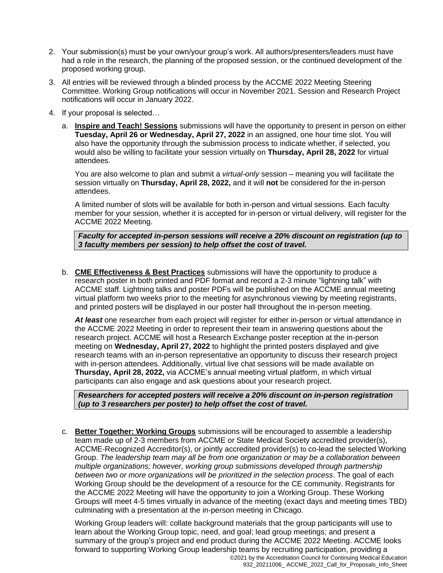- 2. Your submission(s) must be your own/your group's work. All authors/presenters/leaders must have had a role in the research, the planning of the proposed session, or the continued development of the proposed working group.
- 3. All entries will be reviewed through a blinded process by the ACCME 2022 Meeting Steering Committee. Working Group notifications will occur in November 2021. Session and Research Project notifications will occur in January 2022.
- 4. If your proposal is selected…
	- a. **Inspire and Teach! Sessions** submissions will have the opportunity to present in person on either **Tuesday, April 26 or Wednesday, April 27, 2022** in an assigned, one hour time slot. You will also have the opportunity through the submission process to indicate whether, if selected, you would also be willing to facilitate your session virtually on **Thursday, April 28, 2022** for virtual attendees.

You are also welcome to plan and submit a *virtual-only* session – meaning you will facilitate the session virtually on **Thursday, April 28, 2022,** and it will **not** be considered for the in-person attendees.

A limited number of slots will be available for both in-person and virtual sessions. Each faculty member for your session, whether it is accepted for in-person or virtual delivery, will register for the ACCME 2022 Meeting.

*Faculty for accepted in-person sessions will receive a 20% discount on registration (up to 3 faculty members per session) to help offset the cost of travel.*

b. **CME Effectiveness & Best Practices** submissions will have the opportunity to produce a research poster in both printed and PDF format and record a 2-3 minute "lightning talk" with ACCME staff. Lightning talks and poster PDFs will be published on the ACCME annual meeting virtual platform two weeks prior to the meeting for asynchronous viewing by meeting registrants, and printed posters will be displayed in our poster hall throughout the in-person meeting.

*At least* one researcher from each project will register for either in-person or virtual attendance in the ACCME 2022 Meeting in order to represent their team in answering questions about the research project. ACCME will host a Research Exchange poster reception at the in-person meeting on **Wednesday, April 27, 2022** to highlight the printed posters displayed and give research teams with an in-person representative an opportunity to discuss their research project with in-person attendees. Additionally, virtual live chat sessions will be made available on **Thursday, April 28, 2022,** via ACCME's annual meeting virtual platform, in which virtual participants can also engage and ask questions about your research project.

*Researchers for accepted posters will receive a 20% discount on in-person registration (up to 3 researchers per poster) to help offset the cost of travel.*

c. **Better Together: Working Groups** submissions will be encouraged to assemble a leadership team made up of 2-3 members from ACCME or State Medical Society accredited provider(s), ACCME-Recognized Accreditor(s), or jointly accredited provider(s) to co-lead the selected Working Group. *The leadership team may all be from one organization or may be a collaboration between multiple organizations; however, working group submissions developed through partnership between two or more organizations will be prioritized in the selection process*. The goal of each Working Group should be the development of a resource for the CE community. Registrants for the ACCME 2022 Meeting will have the opportunity to join a Working Group. These Working Groups will meet 4-5 times virtually in advance of the meeting (exact days and meeting times TBD) culminating with a presentation at the in-person meeting in Chicago.

Working Group leaders will: collate background materials that the group participants will use to learn about the Working Group topic, need, and goal; lead group meetings; and present a summary of the group's project and end product during the ACCME 2022 Meeting. ACCME looks forward to supporting Working Group leadership teams by recruiting participation, providing a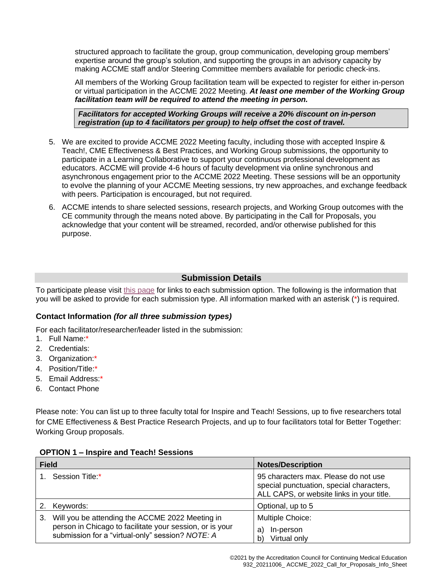structured approach to facilitate the group, group communication, developing group members' expertise around the group's solution, and supporting the groups in an advisory capacity by making ACCME staff and/or Steering Committee members available for periodic check-ins.

All members of the Working Group facilitation team will be expected to register for either in-person or virtual participation in the ACCME 2022 Meeting. *At least one member of the Working Group facilitation team will be required to attend the meeting in person.* 

*Facilitators for accepted Working Groups will receive a 20% discount on in-person registration (up to 4 facilitators per group) to help offset the cost of travel.*

- 5. We are excited to provide ACCME 2022 Meeting faculty, including those with accepted Inspire & Teach!, CME Effectiveness & Best Practices, and Working Group submissions, the opportunity to participate in a Learning Collaborative to support your continuous professional development as educators. ACCME will provide 4-6 hours of faculty development via online synchronous and asynchronous engagement prior to the ACCME 2022 Meeting. These sessions will be an opportunity to evolve the planning of your ACCME Meeting sessions, try new approaches, and exchange feedback with peers. Participation is encouraged, but not required.
- 6. ACCME intends to share selected sessions, research projects, and Working Group outcomes with the CE community through the means noted above. By participating in the Call for Proposals, you acknowledge that your content will be streamed, recorded, and/or otherwise published for this purpose.

## **Submission Details**

To participate please visit [this page](https://www.accme.org/highlights/accme-2022-meeting-call-for-proposals-now-open-and-ready-for-your-submissions) for links to each submission option. The following is the information that you will be asked to provide for each submission type. All information marked with an asterisk (\*) is required.

## **Contact Information** *(for all three submission types)*

For each facilitator/researcher/leader listed in the submission:

- 1. Full Name:\*
- 2. Credentials:
- 3. Organization:\*
- 4. Position/Title:\*
- 5. Email Address:\*
- 6. Contact Phone

Please note: You can list up to three faculty total for Inspire and Teach! Sessions, up to five researchers total for CME Effectiveness & Best Practice Research Projects, and up to four facilitators total for Better Together: Working Group proposals.

| VI IIVII I<br>HIUMII V UNU TUUVIII UUUUIVIIU |                                                                                                                                                                 |                                                                                                                               |
|----------------------------------------------|-----------------------------------------------------------------------------------------------------------------------------------------------------------------|-------------------------------------------------------------------------------------------------------------------------------|
| <b>Field</b>                                 |                                                                                                                                                                 | <b>Notes/Description</b>                                                                                                      |
|                                              | Session Title:*                                                                                                                                                 | 95 characters max. Please do not use<br>special punctuation, special characters,<br>ALL CAPS, or website links in your title. |
|                                              | 2. Keywords:                                                                                                                                                    | Optional, up to 5                                                                                                             |
| 3.                                           | Will you be attending the ACCME 2022 Meeting in<br>person in Chicago to facilitate your session, or is your<br>submission for a "virtual-only" session? NOTE: A | <b>Multiple Choice:</b><br>In-person<br>a)<br>Virtual only<br>b)                                                              |

## **OPTION 1 – Inspire and Teach! Sessions**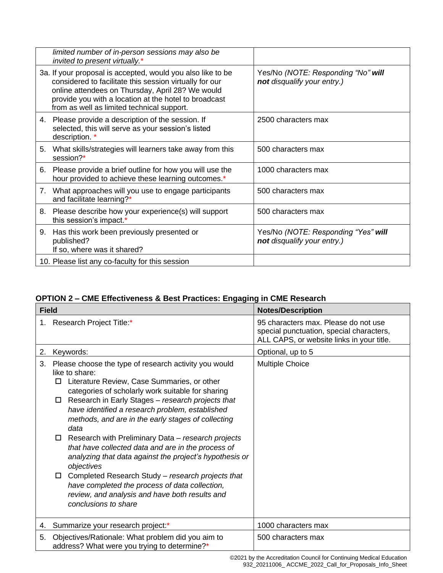|             | limited number of in-person sessions may also be<br>invited to present virtually.*                                                                                                                                                                                                |                                                                    |
|-------------|-----------------------------------------------------------------------------------------------------------------------------------------------------------------------------------------------------------------------------------------------------------------------------------|--------------------------------------------------------------------|
|             | 3a. If your proposal is accepted, would you also like to be<br>considered to facilitate this session virtually for our<br>online attendees on Thursday, April 28? We would<br>provide you with a location at the hotel to broadcast<br>from as well as limited technical support. | Yes/No (NOTE: Responding "No" will<br>not disqualify your entry.)  |
| 4.          | Please provide a description of the session. If<br>selected, this will serve as your session's listed<br>description. *                                                                                                                                                           | 2500 characters max                                                |
| 5.          | What skills/strategies will learners take away from this<br>session?*                                                                                                                                                                                                             | 500 characters max                                                 |
| 6.          | Please provide a brief outline for how you will use the<br>hour provided to achieve these learning outcomes.*                                                                                                                                                                     | 1000 characters max                                                |
| $7_{\cdot}$ | What approaches will you use to engage participants<br>and facilitate learning?*                                                                                                                                                                                                  | 500 characters max                                                 |
| 8.          | Please describe how your experience(s) will support<br>this session's impact.*                                                                                                                                                                                                    | 500 characters max                                                 |
| 9.          | Has this work been previously presented or<br>published?<br>If so, where was it shared?                                                                                                                                                                                           | Yes/No (NOTE: Responding "Yes" will<br>not disqualify your entry.) |
|             | 10. Please list any co-faculty for this session                                                                                                                                                                                                                                   |                                                                    |

## **OPTION 2 – CME Effectiveness & Best Practices: Engaging in CME Research**

| <b>Field</b> |                                                                                                                                                                                                                                                                                                                                                                                                                                                                                                                                                                                                                                                                                                                                        | <b>Notes/Description</b>                                                                                                      |
|--------------|----------------------------------------------------------------------------------------------------------------------------------------------------------------------------------------------------------------------------------------------------------------------------------------------------------------------------------------------------------------------------------------------------------------------------------------------------------------------------------------------------------------------------------------------------------------------------------------------------------------------------------------------------------------------------------------------------------------------------------------|-------------------------------------------------------------------------------------------------------------------------------|
| 1.           | Research Project Title:*                                                                                                                                                                                                                                                                                                                                                                                                                                                                                                                                                                                                                                                                                                               | 95 characters max. Please do not use<br>special punctuation, special characters,<br>ALL CAPS, or website links in your title. |
| 2.           | Keywords:                                                                                                                                                                                                                                                                                                                                                                                                                                                                                                                                                                                                                                                                                                                              | Optional, up to 5                                                                                                             |
| 3.           | Please choose the type of research activity you would<br>like to share:<br>Literature Review, Case Summaries, or other<br>categories of scholarly work suitable for sharing<br>Research in Early Stages - research projects that<br>□<br>have identified a research problem, established<br>methods, and are in the early stages of collecting<br>data<br>Research with Preliminary Data – research projects<br>□<br>that have collected data and are in the process of<br>analyzing that data against the project's hypothesis or<br>objectives<br>Completed Research Study - research projects that<br>□<br>have completed the process of data collection,<br>review, and analysis and have both results and<br>conclusions to share | <b>Multiple Choice</b>                                                                                                        |
| 4.           | Summarize your research project:*                                                                                                                                                                                                                                                                                                                                                                                                                                                                                                                                                                                                                                                                                                      | 1000 characters max                                                                                                           |
| 5.           | Objectives/Rationale: What problem did you aim to<br>address? What were you trying to determine?*                                                                                                                                                                                                                                                                                                                                                                                                                                                                                                                                                                                                                                      | 500 characters max                                                                                                            |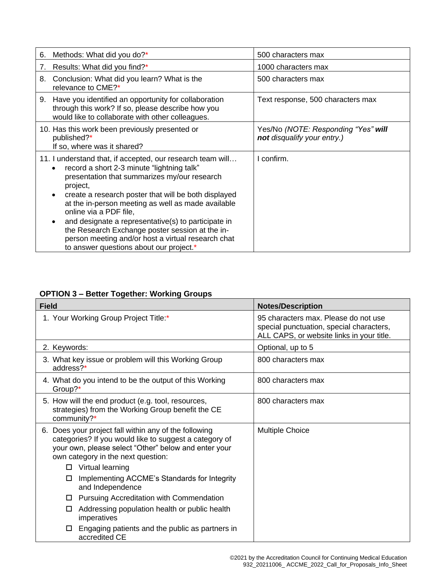| Methods: What did you do?*<br>6.                                                                                                                                                                                                                                                                                                                                                                                                                                                                                                                               | 500 characters max                                                 |
|----------------------------------------------------------------------------------------------------------------------------------------------------------------------------------------------------------------------------------------------------------------------------------------------------------------------------------------------------------------------------------------------------------------------------------------------------------------------------------------------------------------------------------------------------------------|--------------------------------------------------------------------|
| Results: What did you find?*<br>7.                                                                                                                                                                                                                                                                                                                                                                                                                                                                                                                             | 1000 characters max                                                |
| Conclusion: What did you learn? What is the<br>8.<br>relevance to CME?*                                                                                                                                                                                                                                                                                                                                                                                                                                                                                        | 500 characters max                                                 |
| 9. Have you identified an opportunity for collaboration<br>through this work? If so, please describe how you<br>would like to collaborate with other colleagues.                                                                                                                                                                                                                                                                                                                                                                                               | Text response, 500 characters max                                  |
| 10. Has this work been previously presented or<br>published?*<br>If so, where was it shared?                                                                                                                                                                                                                                                                                                                                                                                                                                                                   | Yes/No (NOTE: Responding "Yes" will<br>not disqualify your entry.) |
| 11. I understand that, if accepted, our research team will<br>record a short 2-3 minute "lightning talk"<br>$\bullet$<br>presentation that summarizes my/our research<br>project,<br>create a research poster that will be both displayed<br>$\bullet$<br>at the in-person meeting as well as made available<br>online via a PDF file,<br>and designate a representative(s) to participate in<br>$\bullet$<br>the Research Exchange poster session at the in-<br>person meeting and/or host a virtual research chat<br>to answer questions about our project.* | I confirm.                                                         |

# **OPTION 3 – Better Together: Working Groups**

| <b>Field</b>                                                                                                                                                                                                                           | <b>Notes/Description</b>                                                                                                      |
|----------------------------------------------------------------------------------------------------------------------------------------------------------------------------------------------------------------------------------------|-------------------------------------------------------------------------------------------------------------------------------|
| 1. Your Working Group Project Title:*                                                                                                                                                                                                  | 95 characters max. Please do not use<br>special punctuation, special characters,<br>ALL CAPS, or website links in your title. |
| 2. Keywords:                                                                                                                                                                                                                           | Optional, up to 5                                                                                                             |
| 3. What key issue or problem will this Working Group<br>address?*                                                                                                                                                                      | 800 characters max                                                                                                            |
| 4. What do you intend to be the output of this Working<br>Group?*                                                                                                                                                                      | 800 characters max                                                                                                            |
| 5. How will the end product (e.g. tool, resources,<br>strategies) from the Working Group benefit the CE<br>community?*                                                                                                                 | 800 characters max                                                                                                            |
| 6. Does your project fall within any of the following<br>categories? If you would like to suggest a category of<br>your own, please select "Other" below and enter your<br>own category in the next question:<br>Virtual learning<br>□ | <b>Multiple Choice</b>                                                                                                        |
| Implementing ACCME's Standards for Integrity<br>□<br>and Independence                                                                                                                                                                  |                                                                                                                               |
| Pursuing Accreditation with Commendation<br>□                                                                                                                                                                                          |                                                                                                                               |
| Addressing population health or public health<br>□<br>imperatives                                                                                                                                                                      |                                                                                                                               |
| Engaging patients and the public as partners in<br>□<br>accredited CE                                                                                                                                                                  |                                                                                                                               |